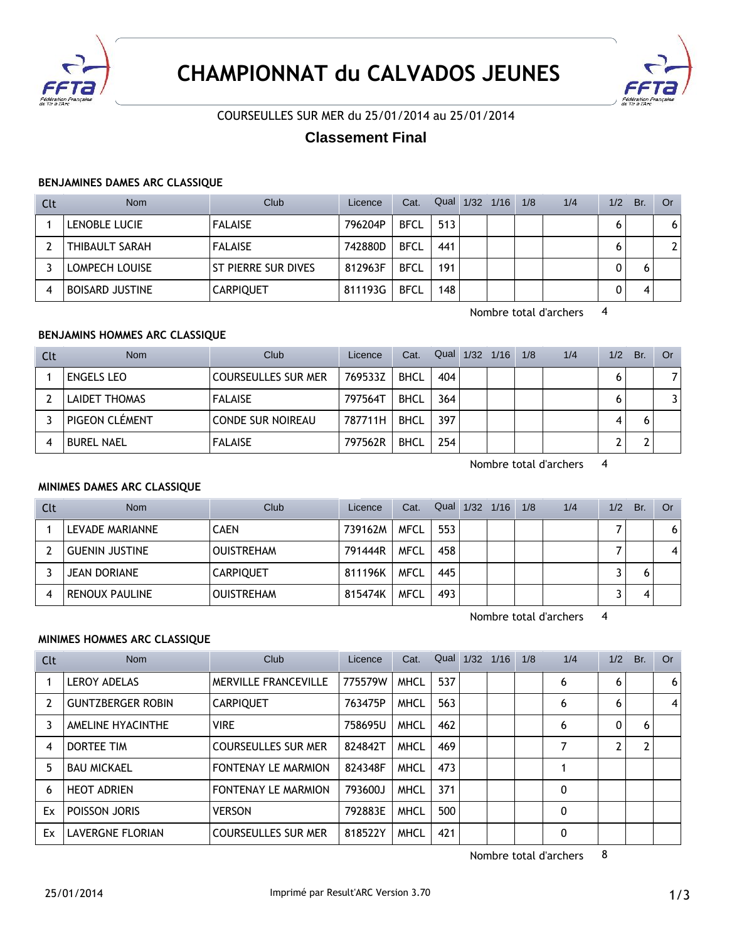



# COURSEULLES SUR MER du 25/01/2014 au 25/01/2014

# **Classement Final**

#### **BENJAMINES DAMES ARC CLASSIQUE**

| Clt | <b>Nom</b>             | Club                       | Licence | Cat.        | Qual | 1/32 | 1/16 | 1/8 | 1/4 | 1/2 | Br. | Or                    |
|-----|------------------------|----------------------------|---------|-------------|------|------|------|-----|-----|-----|-----|-----------------------|
|     | LENOBLE LUCIE          | <b>FALAISE</b>             | 796204P | <b>BFCL</b> | 513  |      |      |     |     | 6   |     | 6                     |
|     | <b>THIBAULT SARAH</b>  | <b>FALAISE</b>             | 742880D | <b>BFCL</b> | 441  |      |      |     |     |     |     | $\mathbf{2}^{\prime}$ |
|     | LOMPECH LOUISE         | <b>ST PIERRE SUR DIVES</b> | 812963F | <b>BFCL</b> | 191  |      |      |     |     |     |     |                       |
|     | <b>BOISARD JUSTINE</b> | <b>CARPIQUET</b>           | 811193G | <b>BFCL</b> | 148  |      |      |     |     |     |     |                       |

Nombre total d'archers 4

## **BENJAMINS HOMMES ARC CLASSIQUE**

| Clt | <b>Nom</b>           | Club                       | Licence | Cat.        | Qual 1/32 1/16 |  | 1/8 | 1/4 | 1/2 | Br. | Or. |
|-----|----------------------|----------------------------|---------|-------------|----------------|--|-----|-----|-----|-----|-----|
|     | <b>ENGELS LEO</b>    | <b>COURSEULLES SUR MER</b> | 769533Z | <b>BHCL</b> | 404            |  |     |     |     |     |     |
|     | <b>LAIDET THOMAS</b> | <b>FALAISE</b>             | 797564T | <b>BHCL</b> | 364            |  |     |     |     |     |     |
|     | PIGEON CLÉMENT       | <b>CONDE SUR NOIREAU</b>   | 787711H | <b>BHCL</b> | 397            |  |     |     | 4   |     |     |
|     | <b>BUREL NAEL</b>    | <b>FALAISE</b>             | 797562R | <b>BHCL</b> | 254            |  |     |     |     |     |     |

Nombre total d'archers 4

#### **MINIMES DAMES ARC CLASSIQUE**

| Clt | <b>Nom</b>            | Club              | Licence | Cat.        | Qual | 1/32 | 1/16 | 1/8 | 1/4 | 1/2 | Br. | Or |
|-----|-----------------------|-------------------|---------|-------------|------|------|------|-----|-----|-----|-----|----|
|     | LEVADE MARIANNE       | CAEN              | 739162M | <b>MFCL</b> | 553  |      |      |     |     |     |     | 6  |
|     | <b>GUENIN JUSTINE</b> | <b>OUISTREHAM</b> | 791444R | <b>MFCL</b> | 458  |      |      |     |     |     |     |    |
|     | <b>JEAN DORIANE</b>   | <b>CARPIQUET</b>  | 811196K | <b>MFCL</b> | 445  |      |      |     |     |     | 6   |    |
|     | <b>RENOUX PAULINE</b> | <b>OUISTREHAM</b> | 815474K | <b>MFCL</b> | 493  |      |      |     |     |     |     |    |

Nombre total d'archers 4

## **MINIMES HOMMES ARC CLASSIQUE**

| Clt | <b>Nom</b>               | Club                        | Licence | Cat.        | Qual | 1/32 | 1/16 | 1/8 | 1/4 | 1/2 | Br. | <b>Or</b> |
|-----|--------------------------|-----------------------------|---------|-------------|------|------|------|-----|-----|-----|-----|-----------|
|     | <b>LEROY ADELAS</b>      | <b>MERVILLE FRANCEVILLE</b> | 775579W | <b>MHCL</b> | 537  |      |      |     | 6   | 6   |     | 6         |
|     | <b>GUNTZBERGER ROBIN</b> | <b>CARPIQUET</b>            | 763475P | <b>MHCL</b> | 563  |      |      |     | 6   | 6   |     | 4         |
| 3   | AMELINE HYACINTHE        | <b>VIRE</b>                 | 758695U | <b>MHCL</b> | 462  |      |      |     | 6   | 0   | 6   |           |
| 4   | DORTEE TIM               | COURSEULLES SUR MER         | 824842T | <b>MHCL</b> | 469  |      |      |     |     | 2   |     |           |
| 5.  | <b>BAU MICKAEL</b>       | <b>FONTENAY LE MARMION</b>  | 824348F | <b>MHCL</b> | 473  |      |      |     |     |     |     |           |
| 6   | <b>HEOT ADRIEN</b>       | <b>FONTENAY LE MARMION</b>  | 793600J | <b>MHCL</b> | 371  |      |      |     | 0   |     |     |           |
| Ex  | POISSON JORIS            | <b>VERSON</b>               | 792883E | <b>MHCL</b> | 500  |      |      |     | 0   |     |     |           |
| Ex  | LAVERGNE FLORIAN         | <b>COURSEULLES SUR MER</b>  | 818522Y | <b>MHCL</b> | 421  |      |      |     | 0   |     |     |           |

Nombre total d'archers 8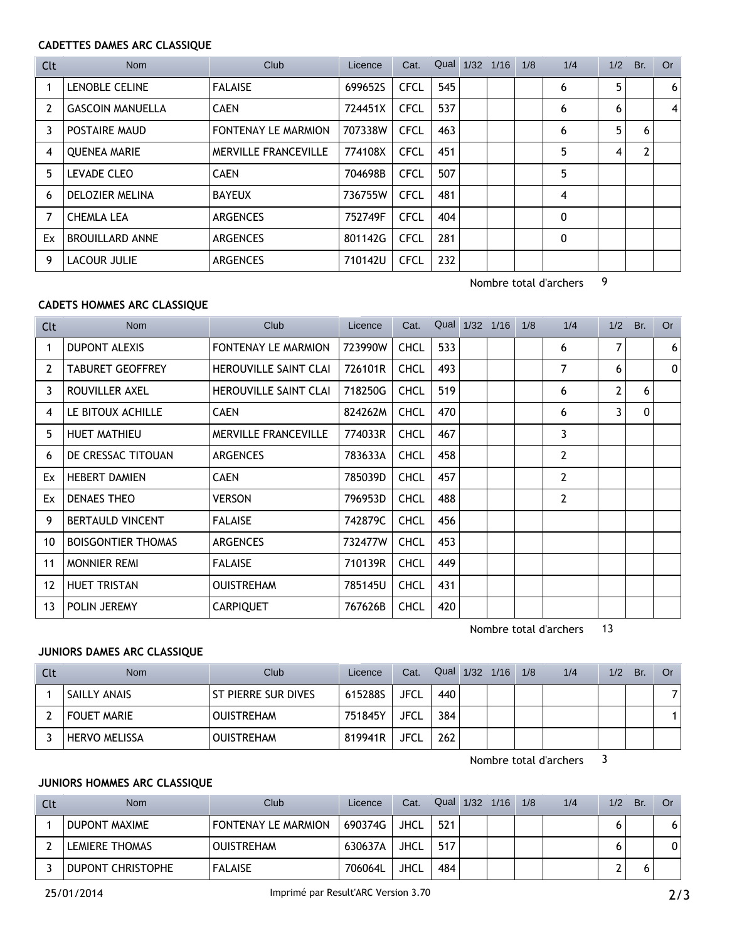## **CADETTES DAMES ARC CLASSIQUE**

| Clt | Nom                     | Club                        | Licence | Cat.        | Qual | 1/32 | 1/16 | 1/8 | 1/4 | 1/2 | Br. | Or |
|-----|-------------------------|-----------------------------|---------|-------------|------|------|------|-----|-----|-----|-----|----|
|     | <b>LENOBLE CELINE</b>   | <b>FALAISE</b>              | 699652S | <b>CFCL</b> | 545  |      |      |     | 6   | 5   |     | 6  |
| 2   | <b>GASCOIN MANUELLA</b> | <b>CAEN</b>                 | 724451X | <b>CFCL</b> | 537  |      |      |     | 6   | 6   |     | 4  |
| 3   | POSTAIRE MAUD           | <b>FONTENAY LE MARMION</b>  | 707338W | <b>CFCL</b> | 463  |      |      |     | 6   | 5   | 6   |    |
| 4   | <b>OUENEA MARIE</b>     | <b>MERVILLE FRANCEVILLE</b> | 774108X | <b>CFCL</b> | 451  |      |      |     | 5   | 4   | 2   |    |
| 5.  | LEVADE CLEO             | <b>CAEN</b>                 | 704698B | CFCL        | 507  |      |      |     | 5   |     |     |    |
| 6   | <b>DELOZIER MELINA</b>  | <b>BAYEUX</b>               | 736755W | CFCL        | 481  |      |      |     | 4   |     |     |    |
|     | <b>CHEMLA LEA</b>       | <b>ARGENCES</b>             | 752749F | <b>CFCL</b> | 404  |      |      |     | 0   |     |     |    |
| Ex  | <b>BROUILLARD ANNE</b>  | <b>ARGENCES</b>             | 801142G | <b>CFCL</b> | 281  |      |      |     | 0   |     |     |    |
| 9   | LACOUR JULIE            | <b>ARGENCES</b>             | 710142U | <b>CFCL</b> | 232  |      |      |     |     |     |     |    |

Nombre total d'archers 9

## **CADETS HOMMES ARC CLASSIQUE**

| Clt | <b>Nom</b>                | Club                         | Licence | Cat.        |     | Qual 1/32 1/16 | 1/8 | 1/4            | 1/2 | Br.      | <b>Or</b> |
|-----|---------------------------|------------------------------|---------|-------------|-----|----------------|-----|----------------|-----|----------|-----------|
|     | <b>DUPONT ALEXIS</b>      | FONTENAY LE MARMION          | 723990W | <b>CHCL</b> | 533 |                |     | 6              | 7   |          | 6         |
| 2   | <b>TABURET GEOFFREY</b>   | <b>HEROUVILLE SAINT CLAI</b> | 726101R | <b>CHCL</b> | 493 |                |     | 7              | 6   |          | $\Omega$  |
| 3   | ROUVILLER AXEL            | <b>HEROUVILLE SAINT CLAI</b> | 718250G | <b>CHCL</b> | 519 |                |     | 6              | 2   | 6        |           |
| 4   | LE BITOUX ACHILLE         | <b>CAEN</b>                  | 824262M | <b>CHCL</b> | 470 |                |     | 6              | 3   | $\Omega$ |           |
| 5.  | <b>HUET MATHIEU</b>       | <b>MERVILLE FRANCEVILLE</b>  | 774033R | <b>CHCL</b> | 467 |                |     | 3              |     |          |           |
| 6   | DE CRESSAC TITOUAN        | <b>ARGENCES</b>              | 783633A | <b>CHCL</b> | 458 |                |     | 2              |     |          |           |
| Ex  | <b>HEBERT DAMIEN</b>      | <b>CAEN</b>                  | 785039D | <b>CHCL</b> | 457 |                |     | 2              |     |          |           |
| Ex  | DENAES THEO               | <b>VERSON</b>                | 796953D | <b>CHCL</b> | 488 |                |     | $\overline{2}$ |     |          |           |
| 9   | <b>BERTAULD VINCENT</b>   | <b>FALAISE</b>               | 742879C | <b>CHCL</b> | 456 |                |     |                |     |          |           |
| 10  | <b>BOISGONTIER THOMAS</b> | <b>ARGENCES</b>              | 732477W | <b>CHCL</b> | 453 |                |     |                |     |          |           |
| 11  | <b>MONNIER REMI</b>       | <b>FALAISE</b>               | 710139R | <b>CHCL</b> | 449 |                |     |                |     |          |           |
| 12  | <b>HUET TRISTAN</b>       | <b>OUISTREHAM</b>            | 785145U | <b>CHCL</b> | 431 |                |     |                |     |          |           |
| 13  | POLIN JEREMY              | <b>CARPIQUET</b>             | 767626B | <b>CHCL</b> | 420 |                |     |                |     |          |           |

Nombre total d'archers 13

## **JUNIORS DAMES ARC CLASSIQUE**

| Clt | <b>Nom</b>           | Club                       | Licence | Cat.        | Qual 1/32 1/16 |  | 1/8 | 1/4 | 1/2 | Br. | Or |
|-----|----------------------|----------------------------|---------|-------------|----------------|--|-----|-----|-----|-----|----|
|     | SAILLY ANAIS         | <b>ST PIERRE SUR DIVES</b> | 615288S | <b>JFCL</b> | 440            |  |     |     |     |     |    |
|     | <b>FOUET MARIE</b>   | <b>OUISTREHAM</b>          | 751845Y | JFCL        | 384            |  |     |     |     |     |    |
|     | <b>HERVO MELISSA</b> | <b>OUISTREHAM</b>          | 819941R | JFCL        | 262            |  |     |     |     |     |    |

Nombre total d'archers 3

# **JUNIORS HOMMES ARC CLASSIQUE**

| Clt | <b>Nom</b>            | Club <sup>1</sup>          | Licence | Cat.        | Qual | $1/32$ $1/16$ | 1/8 | 1/4 | 1/2 | Br. | Or |
|-----|-----------------------|----------------------------|---------|-------------|------|---------------|-----|-----|-----|-----|----|
|     | DUPONT MAXIME         | <b>FONTENAY LE MARMION</b> | 690374G | <b>JHCL</b> | 521  |               |     |     |     |     |    |
|     | <b>LEMIERE THOMAS</b> | <b>OUISTREHAM</b>          | 630637A | <b>JHCL</b> | 517  |               |     |     |     |     |    |
|     | DUPONT CHRISTOPHE     | <b>FALAISE</b>             | 706064L | JHCL        | 484  |               |     |     |     |     |    |